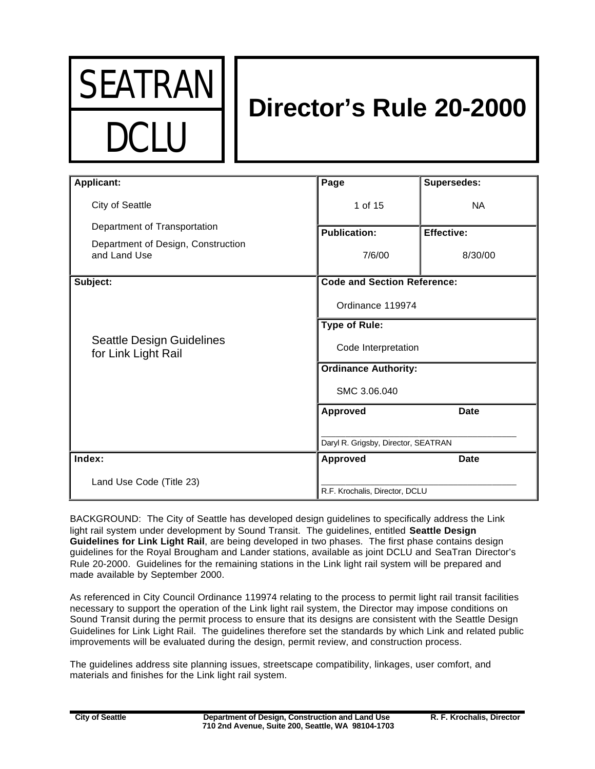

# **Director's Rule 20-2000**

| <b>Applicant:</b>                                       | Page                                | <b>Supersedes:</b> |
|---------------------------------------------------------|-------------------------------------|--------------------|
|                                                         |                                     |                    |
| City of Seattle                                         | 1 of 15                             | <b>NA</b>          |
| Department of Transportation                            | <b>Publication:</b>                 | <b>Effective:</b>  |
| Department of Design, Construction<br>and Land Use      | 7/6/00                              | 8/30/00            |
| Subject:                                                | <b>Code and Section Reference:</b>  |                    |
| <b>Seattle Design Guidelines</b><br>for Link Light Rail | Ordinance 119974                    |                    |
|                                                         | <b>Type of Rule:</b>                |                    |
|                                                         | Code Interpretation                 |                    |
|                                                         | <b>Ordinance Authority:</b>         |                    |
|                                                         | SMC 3.06.040                        |                    |
|                                                         | <b>Approved</b>                     | <b>Date</b>        |
|                                                         |                                     |                    |
|                                                         | Daryl R. Grigsby, Director, SEATRAN |                    |
| Index:                                                  | <b>Approved</b>                     | <b>Date</b>        |
| Land Use Code (Title 23)                                |                                     |                    |
|                                                         | R.F. Krochalis, Director, DCLU      |                    |

BACKGROUND: The City of Seattle has developed design guidelines to specifically address the Link light rail system under development by Sound Transit. The guidelines, entitled **Seattle Design Guidelines for Link Light Rail**, are being developed in two phases. The first phase contains design guidelines for the Royal Brougham and Lander stations, available as joint DCLU and SeaTran Director's Rule 20-2000. Guidelines for the remaining stations in the Link light rail system will be prepared and made available by September 2000.

As referenced in City Council Ordinance 119974 relating to the process to permit light rail transit facilities necessary to support the operation of the Link light rail system, the Director may impose conditions on Sound Transit during the permit process to ensure that its designs are consistent with the Seattle Design Guidelines for Link Light Rail. The guidelines therefore set the standards by which Link and related public improvements will be evaluated during the design, permit review, and construction process.

The guidelines address site planning issues, streetscape compatibility, linkages, user comfort, and materials and finishes for the Link light rail system.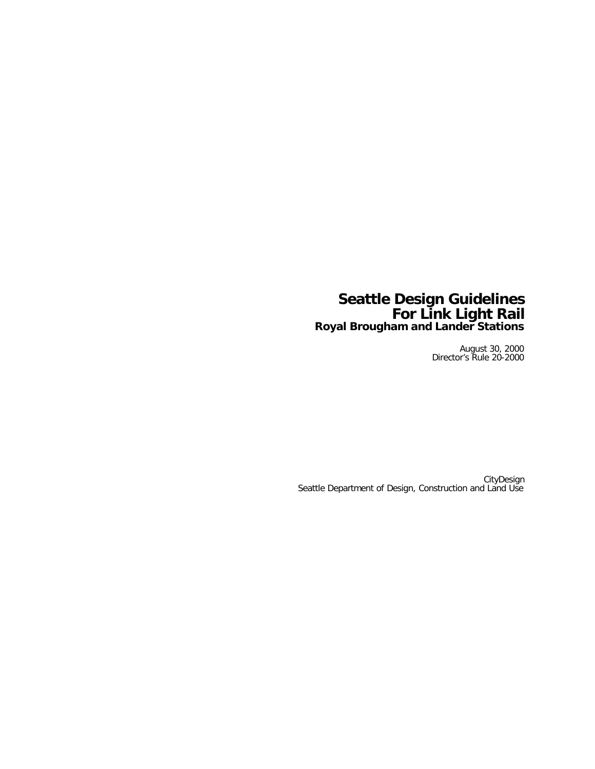### **Seattle Design Guidelines For Link Light Rail Royal Brougham and Lander Stations**

August 30, 2000 Director's Rule 20-2000

**CityDesign** Seattle Department of Design, Construction and Land Use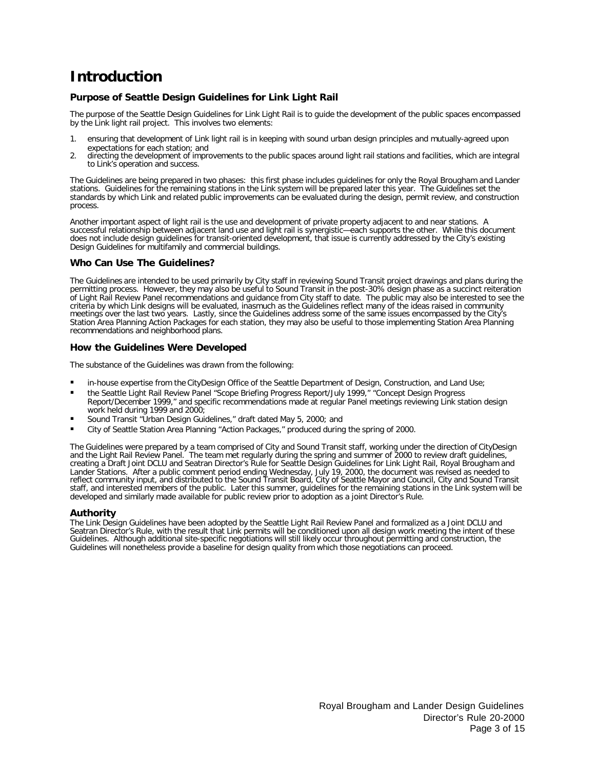# **Introduction**

#### **Purpose of Seattle Design Guidelines for Link Light Rail**

The purpose of the Seattle Design Guidelines for Link Light Rail is to guide the development of the public spaces encompassed by the Link light rail project. This involves two elements:

- 1. ensuring that development of Link light rail is in keeping with sound urban design principles and mutually-agreed upon expectations for each station; and
- 2. directing the development of improvements to the public spaces around light rail stations and facilities, which are integral to Link's operation and success.

The Guidelines are being prepared in two phases: this first phase includes guidelines for only the Royal Brougham and Lander stations. Guidelines for the remaining stations in the Link system will be prepared later this year. The Guidelines set the standards by which Link and related public improvements can be evaluated during the design, permit review, and construction process.

Another important aspect of light rail is the use and development of private property adjacent to and near stations. A successful relationship between adjacent land use and light rail is synergistic—each supports the other. While this document does not include design guidelines for transit-oriented development, that issue is currently addressed by the City's existing Design Guidelines for multifamily and commercial buildings.

#### **Who Can Use The Guidelines?**

The Guidelines are intended to be used primarily by City staff in reviewing Sound Transit project drawings and plans during the permitting process. However, they may also be useful to Sound Transit in the post-30% design phase as a succinct reiteration of Light Rail Review Panel recommendations and guidance from City staff to date. The public may also be interested to see the criteria by which Link designs will be evaluated, inasmuch as the Guidelines reflect many of the ideas raised in community meetings over the last two years. Lastly, since the Guidelines address some of the same issues encompassed by the City's Station Area Planning Action Packages for each station, they may also be useful to those implementing Station Area Planning recommendations and neighborhood plans.

#### **How the Guidelines Were Developed**

The substance of the Guidelines was drawn from the following:

- in-house expertise from the CityDesign Office of the Seattle Department of Design, Construction, and Land Use;
- the Seattle Light Rail Review Panel "Scope Briefing Progress Report/July 1999," "Concept Design Progress Report/December 1999," and specific recommendations made at regular Panel meetings reviewing Link station design work held during 1999 and 2000;
- ß Sound Transit "Urban Design Guidelines," draft dated May 5, 2000; and
- ß City of Seattle Station Area Planning "Action Packages," produced during the spring of 2000.

The Guidelines were prepared by a team comprised of City and Sound Transit staff, working under the direction of CityDesign and the Light Rail Review Panel. The team met regularly during the spring and summer of 2000 to review draft guidelines, creating a Draft Joint DCLU and Seatran Director's Rule for Seattle Design Guidelines for Link Light Rail, Royal Brougham and Lander Stations. After a public comment period ending Wednesday, July 19, 2000, the document was revised as needed to reflect community input, and distributed to the Sound Transit Board, City of Seattle Mayor and Council, City and Sound Transit staff, and interested members of the public. Later this summer, guidelines for the remaining stations in the Link system will be developed and similarly made available for public review prior to adoption as a joint Director's Rule.

#### **Authority**

The Link Design Guidelines have been adopted by the Seattle Light Rail Review Panel and formalized as a Joint DCLU and Seatran Director's Rule, with the result that Link permits will be conditioned upon all design work meeting the intent of these Guidelines. Although additional site-specific negotiations will still likely occur throughout permitting and construction, the Guidelines will nonetheless provide a baseline for design quality from which those negotiations can proceed.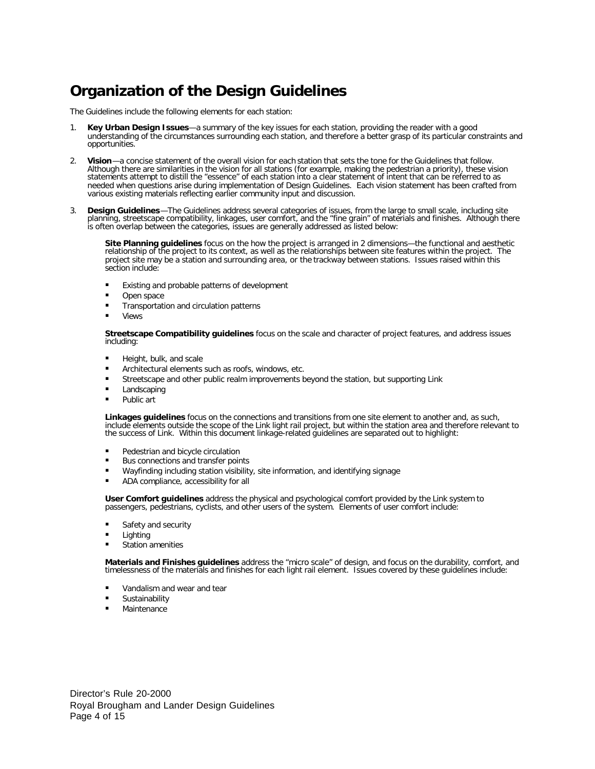## **Organization of the Design Guidelines**

The Guidelines include the following elements for each station:

- 1. **Key Urban Design Issues**—a summary of the key issues for each station, providing the reader with a good understanding of the circumstances surrounding each station, and therefore a better grasp of its particular constraints and opportunities.
- 2. **Vision**—a concise statement of the overall vision for each station that sets the tone for the Guidelines that follow. Although there are similarities in the vision for all stations (for example, making the pedestrian a priority), these vision statements attempt to distill the "essence" of each station into a clear statement of intent that can be referred to as needed when questions arise during implementation of Design Guidelines. Each vision statement has been crafted from various existing materials reflecting earlier community input and discussion.
- 3. **Design Guidelines**—The Guidelines address several categories of issues, from the large to small scale, including site planning, streetscape compatibility, linkages, user comfort, and the "fine grain" of materials and finishes. Although there is often overlap between the categories, issues are generally addressed as listed below:

**Site Planning guidelines** focus on the how the project is arranged in 2 dimensions—the functional and aesthetic relationship of the project to its context, as well as the relationships between site features within the project. The project site may be a station and surrounding area, or the trackway between stations. Issues raised within this section include:

- **Existing and probable patterns of development**
- Open space
- ß Transportation and circulation patterns
- **Views**

**Streetscape Compatibility guidelines** focus on the scale and character of project features, and address issues including:

- **Height, bulk, and scale**
- **EXECUTE:** Architectural elements such as roofs, windows, etc.
- **EXECUTE:** Streetscape and other public realm improvements beyond the station, but supporting Link
- **Landscaping**
- **Public art**

**Linkages guidelines** focus on the connections and transitions from one site element to another and, as such, include elements outside the scope of the Link light rail project, but within the station area and therefore relevant to the success of Link. Within this document linkage-related guidelines are separated out to highlight:

- **•** Pedestrian and bicycle circulation
- **Bus connections and transfer points**
- ß Wayfinding including station visibility, site information, and identifying signage
- ß ADA compliance, accessibility for all

**User Comfort guidelines** address the physical and psychological comfort provided by the Link system to passengers, pedestrians, cyclists, and other users of the system. Elements of user comfort include:

- **Safety and security**
- **Lighting**
- Station amenities

**Materials and Finishes guidelines** address the "micro scale" of design, and focus on the durability, comfort, and timelessness of the materials and finishes for each light rail element. Issues covered by these guidelines include:

- Vandalism and wear and tear
- **Sustainability**
- **Maintenance**

Director's Rule 20-2000 Royal Brougham and Lander Design Guidelines Page 4 of 15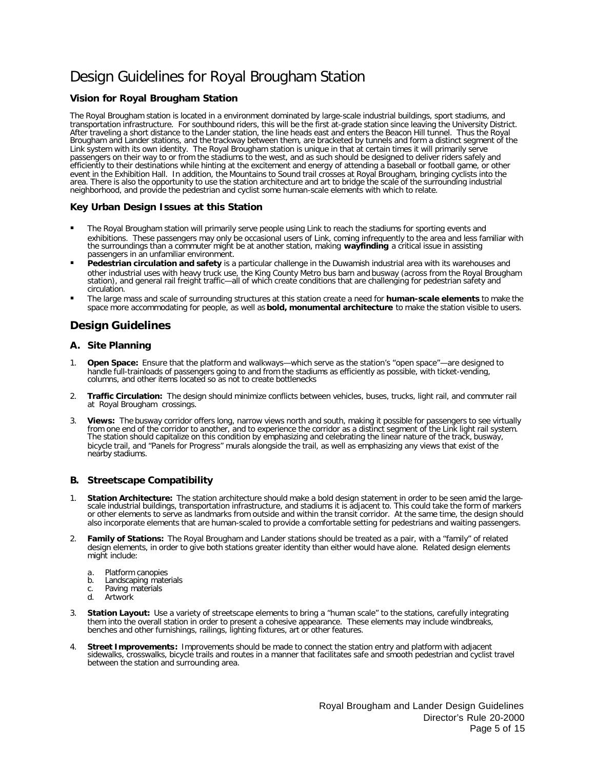# Design Guidelines for Royal Brougham Station

### **Vision for Royal Brougham Station**

The Royal Brougham station is located in a environment dominated by large-scale industrial buildings, sport stadiums, and transportation infrastructure. For southbound riders, this will be the first at-grade station since leaving the University District. After traveling a short distance to the Lander station, the line heads east and enters the Beacon Hill tunnel. Thus the Royal Brougham and Lander stations, and the trackway between them, are bracketed by tunnels and form a distinct segment of the Link system with its own identity. The Royal Brougham station is unique in that at certain times it will primarily serve passengers on their way to or from the stadiums to the west, and as such should be designed to deliver riders safely and efficiently to their destinations while hinting at the excitement and energy of attending a baseball or football game, or other event in the Exhibition Hall. In addition, the Mountains to Sound trail crosses at Royal Brougham, bringing cyclists into the area. There is also the opportunity to use the station architecture and art to bridge the scale of the surrounding industrial neighborhood, and provide the pedestrian and cyclist some human-scale elements with which to relate.

#### **Key Urban Design Issues at this Station**

- ß The Royal Brougham station will primarily serve people using Link to reach the stadiums for sporting events and exhibitions. These passengers may only be occasional users of Link, coming infrequently to the area and less familiar with the surroundings than a commuter might be at another station, making **wayfinding** a critical issue in assisting passengers in an unfamiliar environment.
- ß **Pedestrian circulation and safety** is a particular challenge in the Duwamish industrial area with its warehouses and other industrial uses with heavy truck use, the King County Metro bus barn and busway (across from the Royal Brougham station), and general rail freight traffic—all of which create conditions that are challenging for pedestrian safety and circulation.
- ß The large mass and scale of surrounding structures at this station create a need for **human-scale elements** to make the space more accommodating for people, as well as **bold, monumental architecture** to make the station visible to users.

### **Design Guidelines**

#### **A. Site Planning**

- 1. **Open Space:** Ensure that the platform and walkways—which serve as the station's "open space"—are designed to handle full-trainloads of passengers going to and from the stadiums as efficiently as possible, with ticket-vending, columns, and other items located so as not to create bottlenecks
- 2. **Traffic Circulation:** The design should minimize conflicts between vehicles, buses, trucks, light rail, and commuter rail at Royal Brougham crossings.
- 3. **Views:** The busway corridor offers long, narrow views north and south, making it possible for passengers to see virtually from one end of the corridor to another, and to experience the corridor as a distinct segment of the Link light rail system. The station should capitalize on this condition by emphasizing and celebrating the linear nature of the track, busway, bicycle trail, and "Panels for Progress" murals alongside the trail, as well as emphasizing any views that exist of the nearby stadiums.

#### **B. Streetscape Compatibility**

- 1. **Station Architecture:** The station architecture should make a bold design statement in order to be seen amid the largescale industrial buildings, transportation infrastructure, and stadiums it is adjacent to. This could take the form of markers or other elements to serve as landmarks from outside and within the transit corridor. At the same time, the design should also incorporate elements that are human-scaled to provide a comfortable setting for pedestrians and waiting passengers.
- 2. **Family of Stations:** The Royal Brougham and Lander stations should be treated as a pair, with a "family" of related design elements, in order to give both stations greater identity than either would have alone. Related design elements might include:
	- a. Platform canopies
	- b. Landscaping materials
	- c. Paving materials
	- d. Artwork
- 3. **Station Layout:** Use a variety of streetscape elements to bring a "human scale" to the stations, carefully integrating them into the overall station in order to present a cohesive appearance. These elements may include windbreaks, benches and other furnishings, railings, lighting fixtures, art or other features.
- 4. **Street Improvements:** Improvements should be made to connect the station entry and platform with adjacent sidewalks, crosswalks, bicycle trails and routes in a manner that facilitates safe and smooth pedestrian and cyclist travel between the station and surrounding area.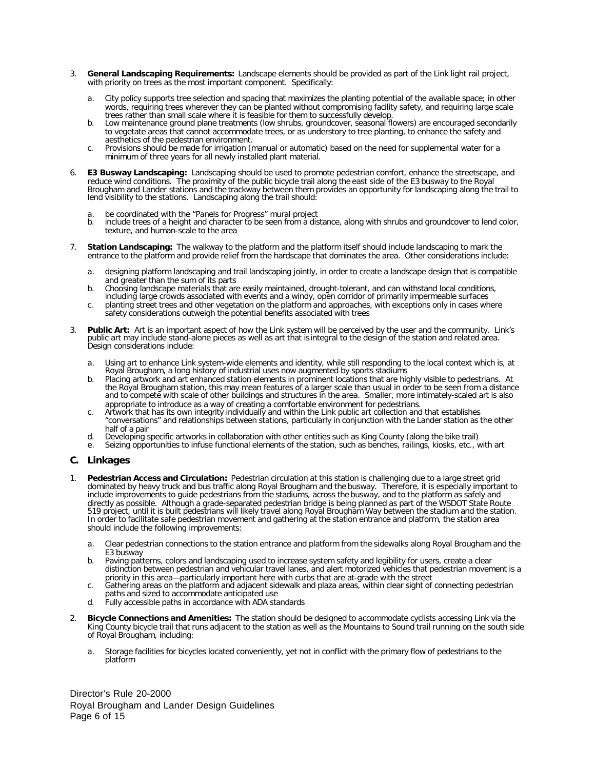- 3. **General Landscaping Requirements:** Landscape elements should be provided as part of the Link light rail project, with priority on trees as the most important component. Specifically:
	- a. City policy supports tree selection and spacing that maximizes the planting potential of the available space; in other words, requiring trees wherever they can be planted without compromising facility safety, and requiring large scale trees rather than small scale where it is feasible for them to successfully develop.
	- b. Low maintenance ground plane treatments (low shrubs, groundcover, seasonal flowers) are encouraged secondarily to vegetate areas that cannot accommodate trees, or as understory to tree planting, to enhance the safety and aesthetics of the pedestrian environment.
	- c. Provisions should be made for irrigation (manual or automatic) based on the need for supplemental water for a minimum of three years for all newly installed plant material.
- 6. **E3 Busway Landscaping:** Landscaping should be used to promote pedestrian comfort, enhance the streetscape, and reduce wind conditions. The proximity of the public bicycle trail along the east side of the E3 busway to the Royal Brougham and Lander stations and the trackway between them provides an opportunity for landscaping along the trail to lend visibility to the stations. Landscaping along the trail should:
	- be coordinated with the "Panels for Progress" mural project
	- b. include trees of a height and character to be seen from a distance, along with shrubs and groundcover to lend color, texture, and human-scale to the area
- 7. **Station Landscaping:** The walkway to the platform and the platform itself should include landscaping to mark the entrance to the platform and provide relief from the hardscape that dominates the area. Other considerations include:
	- a. designing platform landscaping and trail landscaping jointly, in order to create a landscape design that is compatible and greater than the sum of its parts
	- b. Choosing landscape materials that are easily maintained, drought-tolerant, and can withstand local conditions, including large crowds associated with events and a windy, open corridor of primarily impermeable surfaces
	- c. planting street trees and other vegetation on the platform and approaches, with exceptions only in cases where safety considerations outweigh the potential benefits associated with trees
- 3. **Public Art:** Art is an important aspect of how the Link system will be perceived by the user and the community. Link's public art may include stand-alone pieces as well as art that is integral to the design of the station and related area. Design considerations include:
	- a. Using art to enhance Link system-wide elements and identity, while still responding to the local context which is, at Royal Brougham, a long history of industrial uses now augmented by sports stadiums
	- b. Placing artwork and art enhanced station elements in prominent locations that are highly visible to pedestrians. At the Royal Brougham station, this may mean features of a larger scale than usual in order to be seen from a distance and to compete with scale of other buildings and structures in the area. Smaller, more intimately-scaled art is also appropriate to introduce as a way of creating a comfortable environment for pedestrians.
	- c. Artwork that has its own integrity individually and within the Link public art collection and that establishes "conversations" and relationships between stations, particularly in conjunction with the Lander station as the other half of a pair
	- d. Developing specific artworks in collaboration with other entities such as King County (along the bike trail)
	- e. Seizing opportunities to infuse functional elements of the station, such as benches, railings, kiosks, etc., with art

#### **C. Linkages**

- 1. **Pedestrian Access and Circulation:** Pedestrian circulation at this station is challenging due to a large street grid dominated by heavy truck and bus traffic along Royal Brougham and the busway. Therefore, it is especially important to include improvements to guide pedestrians from the stadiums, across the busway, and to the platform as safely and directly as possible. Although a grade-separated pedestrian bridge is being planned as part of the WSDOT State Route 519 project, until it is built pedestrians will likely travel along Royal Brougham Way between the stadium and the station. In order to facilitate safe pedestrian movement and gathering at the station entrance and platform, the station area should include the following improvements:
	- a. Clear pedestrian connections to the station entrance and platform from the sidewalks along Royal Brougham and the E3 busway
	- b. Paving patterns, colors and landscaping used to increase system safety and legibility for users, create a clear distinction between pedestrian and vehicular travel lanes, and alert motorized vehicles that pedestrian movement is a priority in this area—particularly important here with curbs that are at-grade with the street
	- c. Gathering areas on the platform and adjacent sidewalk and plaza areas, within clear sight of connecting pedestrian paths and sized to accommodate anticipated use
	- d. Fully accessible paths in accordance with ADA standards
- 2. **Bicycle Connections and Amenities:** The station should be designed to accommodate cyclists accessing Link via the King County bicycle trail that runs adjacent to the station as well as the Mountains to Sound trail running on the south side of Royal Brougham, including:
	- a. Storage facilities for bicycles located conveniently, yet not in conflict with the primary flow of pedestrians to the platform

Director's Rule 20-2000 Royal Brougham and Lander Design Guidelines Page 6 of 15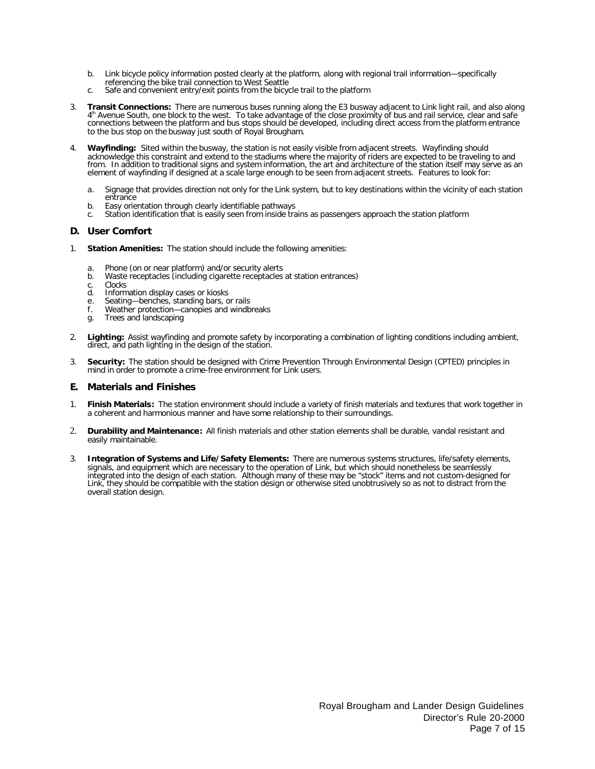- b. Link bicycle policy information posted clearly at the platform, along with regional trail information—specifically referencing the bike trail connection to West Seattle
- c. Safe and convenient entry/exit points from the bicycle trail to the platform
- 3. **Transit Connections:** There are numerous buses running along the E3 busway adjacent to Link light rail, and also along 4<sup>th</sup> Avenue South, one block to the west. To take advantage of the close proximity of bus and rail service, clear and safe connections between the platform and bus stops should be developed, including direct access from the platform entrance to the bus stop on the busway just south of Royal Brougham.
- 4. **Wayfinding:** Sited within the busway, the station is not easily visible from adjacent streets. Wayfinding should acknowledge this constraint and extend to the stadiums where the majority of riders are expected to be traveling to and from. In addition to traditional signs and system information, the art and architecture of the station itself may serve as an element of wayfinding if designed at a scale large enough to be seen from adjacent streets. Features to look for:
	- a. Signage that provides direction not only for the Link system, but to key destinations within the vicinity of each station entrance
	- b. Easy orientation through clearly identifiable pathways
	- c. Station identification that is easily seen from inside trains as passengers approach the station platform

#### **D. User Comfort**

- **Station Amenities:** The station should include the following amenities:
	- a. Phone (on or near platform) and/or security alerts
	- b. Waste receptacles (including cigarette receptacles at station entrances)
	-
	- c. Clocks<br>d. Inform d. Information display cases or kiosks
	- e. Seating—benches, standing bars, or rails
	- f. Weather protection—canopies and windbreaks
	- g. Trees and landscaping
- 2. **Lighting:** Assist wayfinding and promote safety by incorporating a combination of lighting conditions including ambient, direct, and path lighting in the design of the station.
- 3. **Security:** The station should be designed with Crime Prevention Through Environmental Design (CPTED) principles in mind in order to promote a crime-free environment for Link users.

#### **E. Materials and Finishes**

- 1. **Finish Materials:** The station environment should include a variety of finish materials and textures that work together in a coherent and harmonious manner and have some relationship to their surroundings.
- 2. **Durability and Maintenance:** All finish materials and other station elements shall be durable, vandal resistant and easily maintainable.
- 3. **Integration of Systems and Life/Safety Elements:** There are numerous systems structures, life/safety elements, signals, and equipment which are necessary to the operation of Link, but which should nonetheless be seamlessly integrated into the design of each station. Although many of these may be "stock" items and not custom-designed for Link, they should be compatible with the station design or otherwise sited unobtrusively so as not to distract from the overall station design.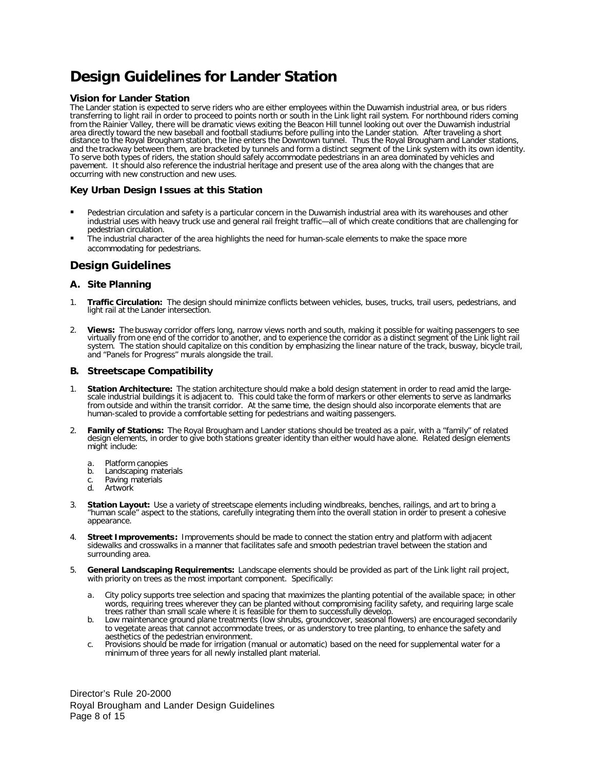# **Design Guidelines for Lander Station**

#### **Vision for Lander Station**

The Lander station is expected to serve riders who are either employees within the Duwamish industrial area, or bus riders transferring to light rail in order to proceed to points north or south in the Link light rail system. For northbound riders coming from the Rainier Valley, there will be dramatic views exiting the Beacon Hill tunnel looking out over the Duwamish industrial area directly toward the new baseball and football stadiums before pulling into the Lander station. After traveling a short distance to the Royal Brougham station, the line enters the Downtown tunnel. Thus the Royal Brougham and Lander stations, and the trackway between them, are bracketed by tunnels and form a distinct segment of the Link system with its own identity. To serve both types of riders, the station should safely accommodate pedestrians in an area dominated by vehicles and pavement. It should also reference the industrial heritage and present use of the area along with the changes that are occurring with new construction and new uses.

#### **Key Urban Design Issues at this Station**

- ß Pedestrian circulation and safety is a particular concern in the Duwamish industrial area with its warehouses and other industrial uses with heavy truck use and general rail freight traffic—all of which create conditions that are challenging for pedestrian circulation.
- The industrial character of the area highlights the need for human-scale elements to make the space more accommodating for pedestrians.

### **Design Guidelines**

#### **A. Site Planning**

- 1. **Traffic Circulation:** The design should minimize conflicts between vehicles, buses, trucks, trail users, pedestrians, and light rail at the Lander intersection.
- 2. **Views:** The busway corridor offers long, narrow views north and south, making it possible for waiting passengers to see virtually from one end of the corridor to another, and to experience the corridor as a distinct segment of the Link light rail system. The station should capitalize on this condition by emphasizing the linear nature of the track, busway, bicycle trail, and "Panels for Progress" murals alongside the trail.

#### **B. Streetscape Compatibility**

- 1. **Station Architecture:** The station architecture should make a bold design statement in order to read amid the largescale industrial buildings it is adjacent to. This could take the form of markers or other elements to serve as landmarks from outside and within the transit corridor. At the same time, the design should also incorporate elements that are human-scaled to provide a comfortable setting for pedestrians and waiting passengers.
- 2. **Family of Stations:** The Royal Brougham and Lander stations should be treated as a pair, with a "family" of related design elements, in order to give both stations greater identity than either would have alone. Related design elements might include:
	-
	- a. Platform canopies<br>b. Landscaping mate Landscaping materials
	- c. Paving materials
	- d. Artwork
- **Station Layout:** Use a variety of streetscape elements including windbreaks, benches, railings, and art to bring a "human scale" aspect to the stations, carefully integrating them into the overall station in order to present a cohesive appearance.
- 4. **Street Improvements:** Improvements should be made to connect the station entry and platform with adjacent sidewalks and crosswalks in a manner that facilitates safe and smooth pedestrian travel between the station and surrounding area.
- 5. **General Landscaping Requirements:** Landscape elements should be provided as part of the Link light rail project, with priority on trees as the most important component. Specifically:
	- a. City policy supports tree selection and spacing that maximizes the planting potential of the available space; in other words, requiring trees wherever they can be planted without compromising facility safety, and requiring large scale trees rather than small scale where it is feasible for them to successfully develop.
	- b. Low maintenance ground plane treatments (low shrubs, groundcover, seasonal flowers) are encouraged secondarily to vegetate areas that cannot accommodate trees, or as understory to tree planting, to enhance the safety and aesthetics of the pedestrian environment.
	- c. Provisions should be made for irrigation (manual or automatic) based on the need for supplemental water for a minimum of three years for all newly installed plant material.

Director's Rule 20-2000 Royal Brougham and Lander Design Guidelines Page 8 of 15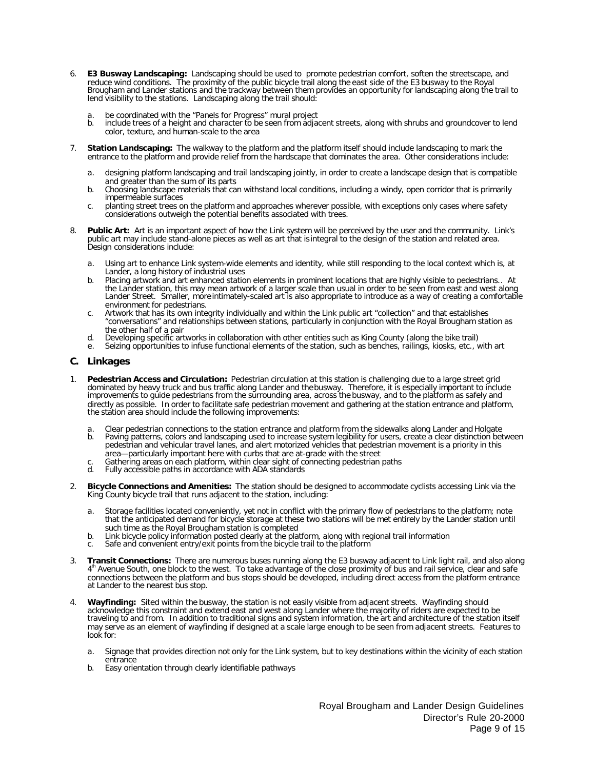- 6. **E3 Busway Landscaping:** Landscaping should be used to promote pedestrian comfort, soften the streetscape, and reduce wind conditions. The proximity of the public bicycle trail along the east side of the E3 busway to the Royal Brougham and Lander stations and the trackway between them provides an opportunity for landscaping along the trail to lend visibility to the stations. Landscaping along the trail should:
	- a. be coordinated with the "Panels for Progress" mural project<br>b. include trees of a height and character to be seen from adja
	- include trees of a height and character to be seen from adjacent streets, along with shrubs and groundcover to lend color, texture, and human-scale to the area
- 7. **Station Landscaping:** The walkway to the platform and the platform itself should include landscaping to mark the entrance to the platform and provide relief from the hardscape that dominates the area. Other considerations include:
	- a. designing platform landscaping and trail landscaping jointly, in order to create a landscape design that is compatible and greater than the sum of its parts
	- b. Choosing landscape materials that can withstand local conditions, including a windy, open corridor that is primarily impermeable surfaces
	- c. planting street trees on the platform and approaches wherever possible, with exceptions only cases where safety considerations outweigh the potential benefits associated with trees.
- 8. **Public Art:** Art is an important aspect of how the Link system will be perceived by the user and the community. Link's public art may include stand-alone pieces as well as art that is integral to the design of the station and related area. Design considerations include:
	- a. Using art to enhance Link system-wide elements and identity, while still responding to the local context which is, at Lander, a long history of industrial uses
	- b. Placing artwork and art enhanced station elements in prominent locations that are highly visible to pedestrians.. At the Lander station, this may mean artwork of a larger scale than usual in order to be seen from east and west along Lander Street. Smaller, more intimately-scaled art is also appropriate to introduce as a way of creating a comfortable environment for pedestrians.
	- c. Artwork that has its own integrity individually and within the Link public art "collection" and that establishes "conversations" and relationships between stations, particularly in conjunction with the Royal Brougham station as the other half of a pair
	- d. Developing specific artworks in collaboration with other entities such as King County (along the bike trail)
	- Seizing opportunities to infuse functional elements of the station, such as benches, railings, kiosks, etc., with art

#### **C. Linkages**

- 1. **Pedestrian Access and Circulation:** Pedestrian circulation at this station is challenging due to a large street grid dominated by heavy truck and bus traffic along Lander and the busway. Therefore, it is especially important to include improvements to guide pedestrians from the surrounding area, across the busway, and to the platform as safely and directly as possible. In order to facilitate safe pedestrian movement and gathering at the station entrance and platform, the station area should include the following improvements:
	- a. Clear pedestrian connections to the station entrance and platform from the sidewalks along Lander and Holgate
	- b. Paving patterns, colors and landscaping used to increase system legibility for users, create a clear distinction between pedestrian and vehicular travel lanes, and alert motorized vehicles that pedestrian movement is a priority in this area—particularly important here with curbs that are at-grade with the street
	- c. Gathering areas on each platform, within clear sight of connecting pedestrian paths
	- d. Fully accessible paths in accordance with ADA standards
- 2. **Bicycle Connections and Amenities:** The station should be designed to accommodate cyclists accessing Link via the King County bicycle trail that runs adjacent to the station, including:
	- a. Storage facilities located conveniently, yet not in conflict with the primary flow of pedestrians to the platform; note that the anticipated demand for bicycle storage at these two stations will be met entirely by the Lander station until such time as the Royal Brougham station is completed
	- b. Link bicycle policy information posted clearly at the platform, along with regional trail information
	- c. Safe and convenient entry/exit points from the bicycle trail to the platform
- 3. **Transit Connections:** There are numerous buses running along the E3 busway adjacent to Link light rail, and also along 4<sup>th</sup> Avenue South, one block to the west. To take advantage of the close proximity of bus and rail service, clear and safe connections between the platform and bus stops should be developed, including direct access from the platform entrance at Lander to the nearest bus stop.
- 4. **Wayfinding:** Sited within the busway, the station is not easily visible from adjacent streets. Wayfinding should acknowledge this constraint and extend east and west along Lander where the majority of riders are expected to be traveling to and from. In addition to traditional signs and system information, the art and architecture of the station itself may serve as an element of wayfinding if designed at a scale large enough to be seen from adjacent streets. Features to look for:
	- a. Signage that provides direction not only for the Link system, but to key destinations within the vicinity of each station entrance
	- b. Easy orientation through clearly identifiable pathways